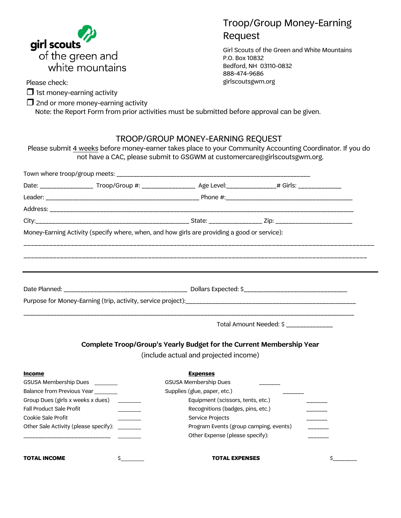

Troop/Group Money-Earning Request

Girl Scouts of the Green and White Mountains P.O. Box 10832 Bedford, NH 03110-0832 888-474-9686 girlscoutsgwm.org

Please check:

 $\Box$  1st money-earning activity

 $\Box$  2nd or more money-earning activity Note: the Report Form from prior activities must be submitted before approval can be given.

# TROOP/GROUP MONEY-EARNING REQUEST

Please submit 4 weeks before money-earner takes place to your Community Accounting Coordinator. If you do not have a CAC, please submit to GSGWM at customercare@girlscoutsgwm.org.

|                                               |  | Date: _______________________Troop/Group #: _______________________Age Level:_______________# Girls: ______________ |  |    |  |  |
|-----------------------------------------------|--|---------------------------------------------------------------------------------------------------------------------|--|----|--|--|
|                                               |  |                                                                                                                     |  |    |  |  |
|                                               |  |                                                                                                                     |  |    |  |  |
|                                               |  |                                                                                                                     |  |    |  |  |
|                                               |  | Money-Earning Activity (specify where, when, and how girls are providing a good or service):                        |  |    |  |  |
|                                               |  |                                                                                                                     |  |    |  |  |
|                                               |  |                                                                                                                     |  |    |  |  |
|                                               |  |                                                                                                                     |  |    |  |  |
|                                               |  | Total Amount Needed: \$ ______________                                                                              |  |    |  |  |
|                                               |  | Complete Troop/Group's Yearly Budget for the Current Membership Year                                                |  |    |  |  |
|                                               |  | (include actual and projected income)                                                                               |  |    |  |  |
| <b>Income</b>                                 |  | <b>Expenses</b>                                                                                                     |  |    |  |  |
| GSUSA Membership Dues ________                |  | GSUSA Membership Dues                                                                                               |  |    |  |  |
| Balance from Previous Year_______             |  | Supplies (glue, paper, etc.)                                                                                        |  |    |  |  |
| Group Dues (girls x weeks x dues) _____       |  | Equipment (scissors, tents, etc.)                                                                                   |  |    |  |  |
| Fall Product Sale Profit                      |  | Recognitions (badges, pins, etc.)                                                                                   |  |    |  |  |
| Cookie Sale Profit                            |  | Service Projects                                                                                                    |  |    |  |  |
| Other Sale Activity (please specify): _______ |  | Program Events (group camping, events)                                                                              |  |    |  |  |
|                                               |  | Other Expense (please specify):                                                                                     |  |    |  |  |
| <b>TOTAL INCOME</b>                           |  | <b>TOTAL EXPENSES</b>                                                                                               |  | \$ |  |  |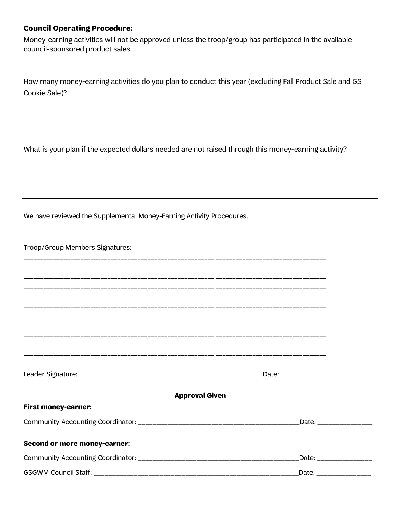### **Council Operating Procedure:**

Money-earning activities will not be approved unless the troop/group has participated in the available council-sponsored product sales.

How many money-earning activities do you plan to conduct this year (excluding Fall Product Sale and GS Cookie Sale)?

What is your plan if the expected dollars needed are not raised through this money-earning activity?

We have reviewed the Supplemental Money-Earning Activity Procedures.

Troop/Group Members Signatures:

|                                     | _Date: ___________________ |
|-------------------------------------|----------------------------|
|                                     |                            |
|                                     | <b>Approval Given</b>      |
|                                     |                            |
| <b>First money-earner:</b>          |                            |
|                                     |                            |
|                                     | _Date: ________________    |
|                                     |                            |
| <b>Second or more money-earner:</b> |                            |
|                                     | Date: ________________     |
|                                     |                            |
|                                     | Date: __________________   |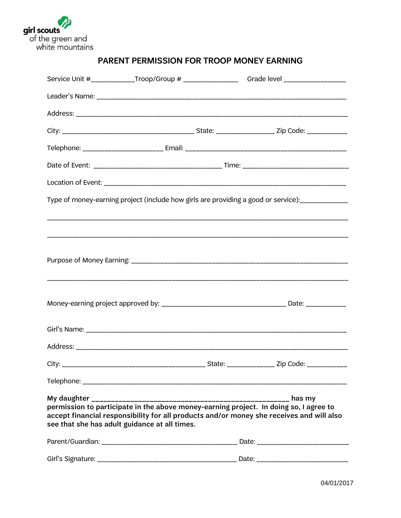

|                                                                                                                                                                                                                                                                           |  |  | Service Unit #_____________Troop/Group # ________________________Grade level _____________________ |  |  |
|---------------------------------------------------------------------------------------------------------------------------------------------------------------------------------------------------------------------------------------------------------------------------|--|--|----------------------------------------------------------------------------------------------------|--|--|
|                                                                                                                                                                                                                                                                           |  |  |                                                                                                    |  |  |
|                                                                                                                                                                                                                                                                           |  |  |                                                                                                    |  |  |
|                                                                                                                                                                                                                                                                           |  |  |                                                                                                    |  |  |
|                                                                                                                                                                                                                                                                           |  |  |                                                                                                    |  |  |
|                                                                                                                                                                                                                                                                           |  |  |                                                                                                    |  |  |
|                                                                                                                                                                                                                                                                           |  |  |                                                                                                    |  |  |
| Type of money-earning project (include how girls are providing a good or service):<br>                                                                                                                                                                                    |  |  |                                                                                                    |  |  |
|                                                                                                                                                                                                                                                                           |  |  |                                                                                                    |  |  |
|                                                                                                                                                                                                                                                                           |  |  |                                                                                                    |  |  |
|                                                                                                                                                                                                                                                                           |  |  |                                                                                                    |  |  |
|                                                                                                                                                                                                                                                                           |  |  |                                                                                                    |  |  |
|                                                                                                                                                                                                                                                                           |  |  |                                                                                                    |  |  |
|                                                                                                                                                                                                                                                                           |  |  |                                                                                                    |  |  |
|                                                                                                                                                                                                                                                                           |  |  |                                                                                                    |  |  |
|                                                                                                                                                                                                                                                                           |  |  |                                                                                                    |  |  |
|                                                                                                                                                                                                                                                                           |  |  |                                                                                                    |  |  |
|                                                                                                                                                                                                                                                                           |  |  |                                                                                                    |  |  |
| My daughter $\frac{1}{2}$<br>has my<br>permission to participate in the above money-earning project. In doing so, I agree to<br>accept financial responsibility for all products and/or money she receives and will also<br>see that she has adult guidance at all times. |  |  |                                                                                                    |  |  |
|                                                                                                                                                                                                                                                                           |  |  |                                                                                                    |  |  |
|                                                                                                                                                                                                                                                                           |  |  |                                                                                                    |  |  |

## PARENT PERMISSION FOR TROOP MONEY EARNING

04/01/2017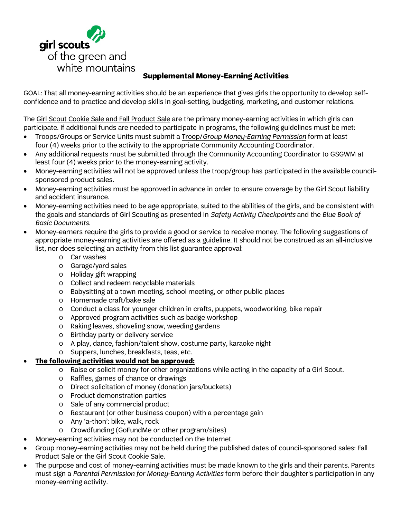

## **Supplemental Money-Earning Activities**

GOAL: That all money-earning activities should be an experience that gives girls the opportunity to develop selfconfidence and to practice and develop skills in goal-setting, budgeting, marketing, and customer relations.

The Girl Scout Cookie Sale and Fall Product Sale are the primary money-earning activities in which girls can participate. If additional funds are needed to participate in programs, the following guidelines must be met:

- Troops/Groups or Service Units must submit a Troop/*Group Money-Earning Permission* form at least four (4) weeks prior to the activity to the appropriate Community Accounting Coordinator.
- Any additional requests must be submitted through the Community Accounting Coordinator to GSGWM at least four (4) weeks prior to the money-earning activity.
- Money-earning activities will not be approved unless the troop/group has participated in the available councilsponsored product sales.
- Money-earning activities must be approved in advance in order to ensure coverage by the Girl Scout liability and accident insurance.
- Money-earning activities need to be age appropriate, suited to the abilities of the girls, and be consistent with the goals and standards of Girl Scouting as presented in *Safety Activity Checkpoints* and the *Blue Book of Basic Documents.*
- Money-earners require the girls to provide a good or service to receive money. The following suggestions of appropriate money-earning activities are offered as a guideline. It should not be construed as an all-inclusive list, nor does selecting an activity from this list guarantee approval:
	- o Car washes
	- o Garage/yard sales
	- o Holiday gift wrapping
	- o Collect and redeem recyclable materials
	- o Babysitting at a town meeting, school meeting, or other public places
	- o Homemade craft/bake sale
	- o Conduct a class for younger children in crafts, puppets, woodworking, bike repair
	- o Approved program activities such as badge workshop
	- o Raking leaves, shoveling snow, weeding gardens
	- o Birthday party or delivery service
	- o A play, dance, fashion/talent show, costume party, karaoke night
	- o Suppers, lunches, breakfasts, teas, etc.

#### • **The following activities would not be approved:**

- o Raise or solicit money for other organizations while acting in the capacity of a Girl Scout.
- o Raffles, games of chance or drawings
- o Direct solicitation of money (donation jars/buckets)
- o Product demonstration parties
- o Sale of any commercial product
- o Restaurant (or other business coupon) with a percentage gain
- o Any 'a-thon': bike, walk, rock
- o Crowdfunding (GoFundMe or other program/sites)
- Money-earning activities may not be conducted on the Internet.
- Group money-earning activities may not be held during the published dates of council-sponsored sales: Fall Product Sale or the Girl Scout Cookie Sale.
- The purpose and cost of money-earning activities must be made known to the girls and their parents. Parents must sign a *Parental Permission for Money-Earning Activities* form before their daughter's participation in any money-earning activity.